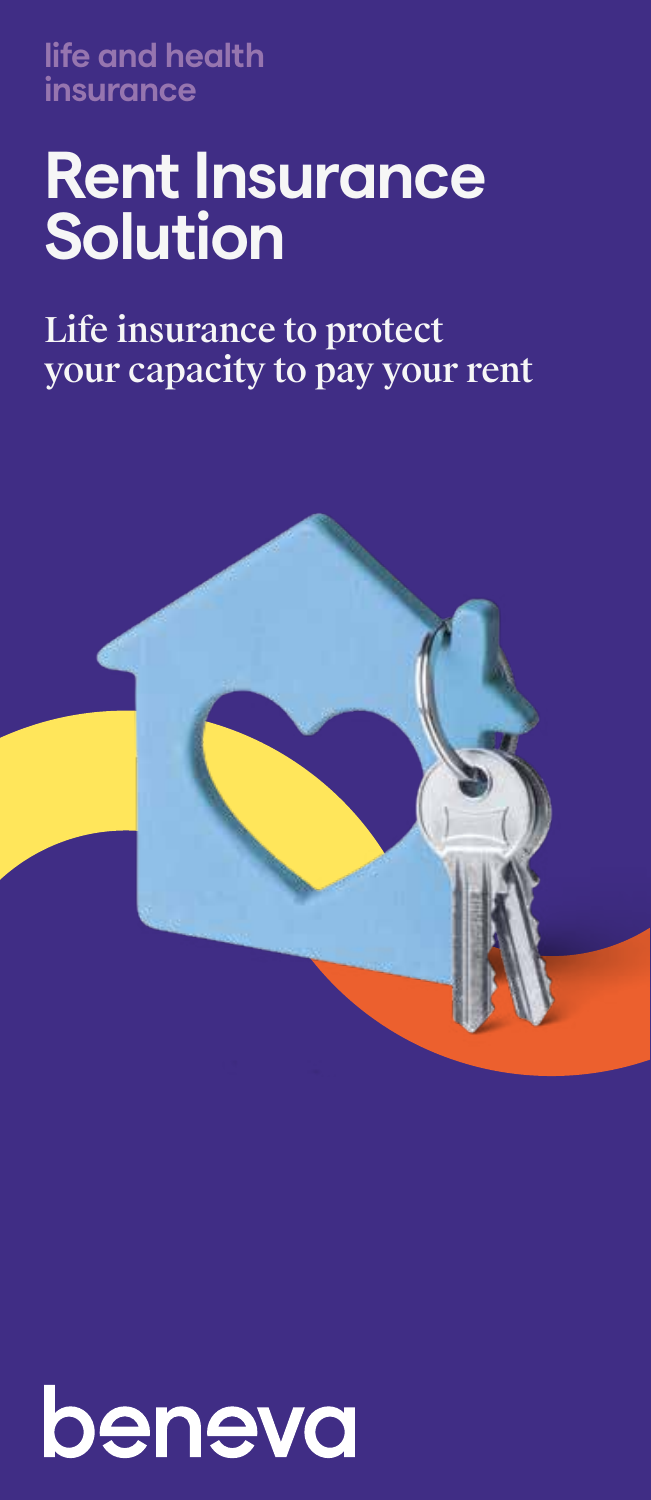**life and health insurance**

# **Rent Insurance Solution**

Life insurance to protect your capacity to pay your rent